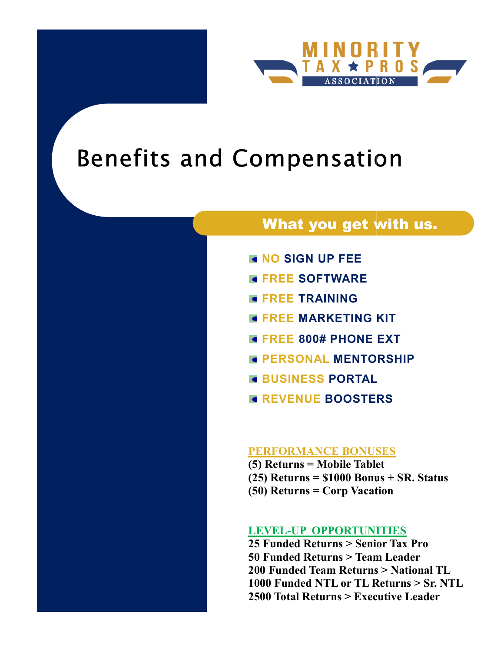

# Benefits and Compensation Compensation

# What you get with us.

- **NO SIGN UP FEE**
- **EREE SOFTWARE**
- **EREE TRAINING**
- **FREE MARKETING KIT**
- FREE 800# PHONE EXT
- **E PERSONAL MENTORSHIP**
- **BUSINESS PORTAL**
- **REVENUE BOOSTERS**

## PERFORMANCE BONUSES

(5) Returns = Mobile Tablet (5) Returns = Mobile Tablet<br>(25) Returns = \$1000 Bonus + SR. Status (50) Returns = Corp Vacation

## LEVEL-UP OPPORTUNITIES

25 Funded Returns > Senior Tax Pro 50 Funded Returns > Team Leader 200 Funded Team Returns > National TL 1000 Funded NTL or TL Returns > Sr. NTL 2500 Total Returns > Executive Leader **COMPERSATION<br>
What you get with us<br>
FREE SOFTWARE<br>
FREE TRAINING<br>
FREE TRAINING<br>
FREE MARKETING KIT<br>
FREE 800# PHONE EXT<br>
FREE 800# PHONE EXT<br>
FREE 800# PHONE EXT<br>
FREE 800# PHONE EXT<br>
FREE 800# PHONE EXT<br>
FREE 800# PHONE**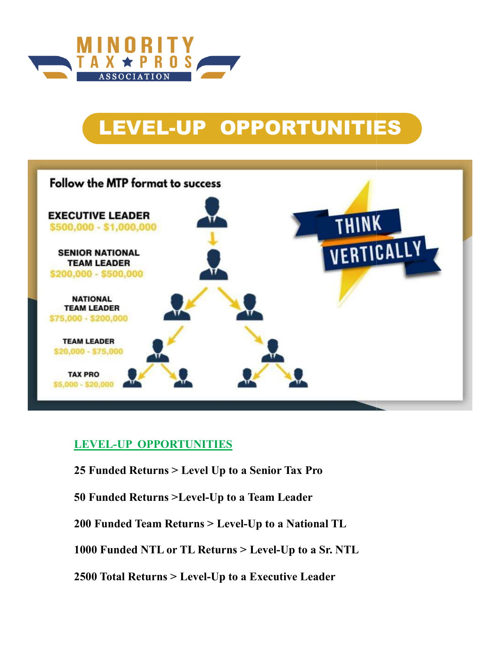

# LEVEL-UP OPPORTUNITIES



## LEVEL-UP OPPORTUNITIES

- <u>LEVEL-UP OPPORTUNITIES</u><br>25 Funded Returns > Level Up to a Senior Tax Pro
- 50 Funded Returns >Level-Up to a Team Leader
- 200 Funded Team Returns > Level-Up to a National TL

1000 Funded NTL or TL Returns > Level-Up to a Sr. NTL

2500 Total Returns > Level-Up to a Executive Leader